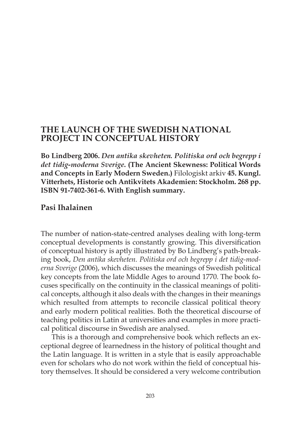# **THE LAUNCH OF THE SWEDISH NATIONAL PROJECT IN CONCEPTUAL HISTORY**

**Bo Lindberg 2006.** *Den antika skevheten. Politiska ord och begrepp i det tidig-moderna Sverige***. (The Ancient Skewness: Political Words and Concepts in Early Modern Sweden.)** Filologiskt arkiv **45. Kungl. Vitterhets, Historie och Antikvitets Akademien: Stockholm. 268 pp. ISBN 91-7402-361-6. With English summary.**

## **Pasi Ihalainen**

The number of nation-state-centred analyses dealing with long-term conceptual developments is constantly growing. This diversification of conceptual history is aptly illustrated by Bo Lindberg's path-breaking book, *Den antika skevheten. Politiska ord och begrepp i det tidig-moderna Sverige* (2006), which discusses the meanings of Swedish political key concepts from the late Middle Ages to around 1770. The book focuses specifically on the continuity in the classical meanings of political concepts, although it also deals with the changes in their meanings which resulted from attempts to reconcile classical political theory and early modern political realities. Both the theoretical discourse of teaching politics in Latin at universities and examples in more practical political discourse in Swedish are analysed.

This is a thorough and comprehensive book which reflects an exceptional degree of learnedness in the history of political thought and the Latin language. It is written in a style that is easily approachable even for scholars who do not work within the field of conceptual history themselves. It should be considered a very welcome contribution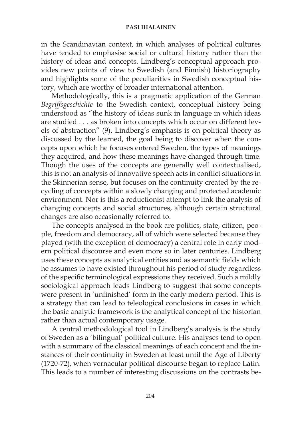in the Scandinavian context, in which analyses of political cultures have tended to emphasise social or cultural history rather than the history of ideas and concepts. Lindberg's conceptual approach provides new points of view to Swedish (and Finnish) historiography and highlights some of the peculiarities in Swedish conceptual history, which are worthy of broader international attention.

Methodologically, this is a pragmatic application of the German *Begriffsgeschichte* to the Swedish context, conceptual history being understood as "the history of ideas sunk in language in which ideas are studied . . . as broken into concepts which occur on different levels of abstraction" (9). Lindberg's emphasis is on political theory as discussed by the learned, the goal being to discover when the concepts upon which he focuses entered Sweden, the types of meanings they acquired, and how these meanings have changed through time. Though the uses of the concepts are generally well contextualised, this is not an analysis of innovative speech acts in conflict situations in the Skinnerian sense, but focuses on the continuity created by the recycling of concepts within a slowly changing and protected academic environment. Nor is this a reductionist attempt to link the analysis of changing concepts and social structures, although certain structural changes are also occasionally referred to.

The concepts analysed in the book are politics, state, citizen, people, freedom and democracy, all of which were selected because they played (with the exception of democracy) a central role in early modern political discourse and even more so in later centuries. Lindberg uses these concepts as analytical entities and as semantic fields which he assumes to have existed throughout his period of study regardless of the specific terminological expressions they received. Such a mildly sociological approach leads Lindberg to suggest that some concepts were present in 'unfinished' form in the early modern period. This is a strategy that can lead to teleological conclusions in cases in which the basic analytic framework is the analytical concept of the historian rather than actual contemporary usage.

A central methodological tool in Lindberg's analysis is the study of Sweden as a 'bilingual' political culture. His analyses tend to open with a summary of the classical meanings of each concept and the instances of their continuity in Sweden at least until the Age of Liberty (1720-72), when vernacular political discourse began to replace Latin. This leads to a number of interesting discussions on the contrasts be-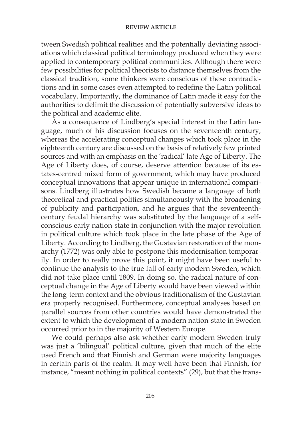tween Swedish political realities and the potentially deviating associations which classical political terminology produced when they were applied to contemporary political communities. Although there were few possibilities for political theorists to distance themselves from the classical tradition, some thinkers were conscious of these contradictions and in some cases even attempted to redefine the Latin political vocabulary. Importantly, the dominance of Latin made it easy for the authorities to delimit the discussion of potentially subversive ideas to the political and academic elite.

As a consequence of Lindberg's special interest in the Latin language, much of his discussion focuses on the seventeenth century, whereas the accelerating conceptual changes which took place in the eighteenth century are discussed on the basis of relatively few printed sources and with an emphasis on the 'radical' late Age of Liberty. The Age of Liberty does, of course, deserve attention because of its estates-centred mixed form of government, which may have produced conceptual innovations that appear unique in international comparisons. Lindberg illustrates how Swedish became a language of both theoretical and practical politics simultaneously with the broadening of publicity and participation, and he argues that the seventeenthcentury feudal hierarchy was substituted by the language of a selfconscious early nation-state in conjunction with the major revolution in political culture which took place in the late phase of the Age of Liberty. According to Lindberg, the Gustavian restoration of the monarchy (1772) was only able to postpone this modernisation temporarily. In order to really prove this point, it might have been useful to continue the analysis to the true fall of early modern Sweden, which did not take place until 1809. In doing so, the radical nature of conceptual change in the Age of Liberty would have been viewed within the long-term context and the obvious traditionalism of the Gustavian era properly recognised. Furthermore, conceptual analyses based on parallel sources from other countries would have demonstrated the extent to which the development of a modern nation-state in Sweden occurred prior to in the majority of Western Europe.

We could perhaps also ask whether early modern Sweden truly was just a 'bilingual' political culture, given that much of the elite used French and that Finnish and German were majority languages in certain parts of the realm. It may well have been that Finnish, for instance, "meant nothing in political contexts" (29), but that the trans-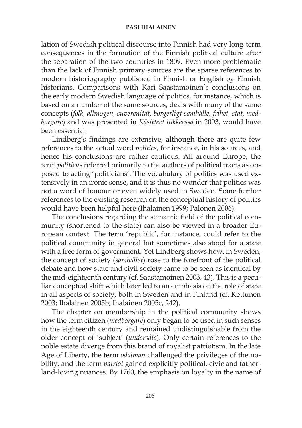lation of Swedish political discourse into Finnish had very long-term consequences in the formation of the Finnish political culture after the separation of the two countries in 1809. Even more problematic than the lack of Finnish primary sources are the sparse references to modern historiography published in Finnish or English by Finnish historians. Comparisons with Kari Saastamoinen's conclusions on the early modern Swedish language of politics, for instance, which is based on a number of the same sources, deals with many of the same concepts (*folk, allmogen, suverenität, borgerligt samhälle, frihet, stat, medborgare*) and was presented in *Käsitteet liikkeessä* in 2003, would have been essential.

Lindberg's findings are extensive, although there are quite few references to the actual word *politics*, for instance, in his sources, and hence his conclusions are rather cautious. All around Europe, the term *politicus* referred primarily to the authors of political tracts as opposed to acting 'politicians'. The vocabulary of politics was used extensively in an ironic sense, and it is thus no wonder that politics was not a word of honour or even widely used in Sweden. Some further references to the existing research on the conceptual history of politics would have been helpful here (Ihalainen 1999; Palonen 2006).

The conclusions regarding the semantic field of the political community (shortened to the state) can also be viewed in a broader European context. The term 'republic', for instance, could refer to the political community in general but sometimes also stood for a state with a free form of government. Yet Lindberg shows how, in Sweden, the concept of society (*samhället*) rose to the forefront of the political debate and how state and civil society came to be seen as identical by the mid-eighteenth century (cf. Saastamoinen 2003, 43). This is a peculiar conceptual shift which later led to an emphasis on the role of state in all aspects of society, both in Sweden and in Finland (cf. Kettunen 2003; Ihalainen 2005b; Ihalainen 2005c, 242).

The chapter on membership in the political community shows how the term citizen (*medborgare*) only began to be used in such senses in the eighteenth century and remained undistinguishable from the older concept of 'subject' (*undersåte*). Only certain references to the noble estate diverge from this brand of royalist patriotism. In the late Age of Liberty, the term *odalman* challenged the privileges of the nobility, and the term *patriot* gained explicitly political, civic and fatherland-loving nuances. By 1760, the emphasis on loyalty in the name of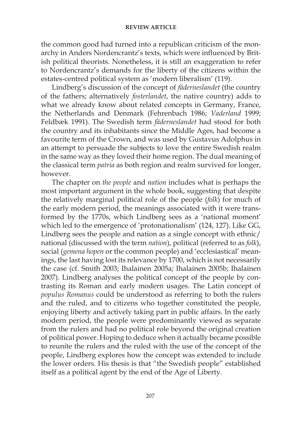the common good had turned into a republican criticism of the monarchy in Anders Nordencrantz's texts, which were influenced by British political theorists. Nonetheless, it is still an exaggeration to refer to Nordencrantz's demands for the liberty of the citizens within the estates-centred political system as 'modern liberalism' (119).

Lindberg's discussion of the concept of *fäderneslandet* (the country of the fathers; alternatively *fosterlandet*, the native country) adds to what we already know about related concepts in Germany, France, the Netherlands and Denmark (Fehrenbach 1986; *Vaderland* 1999; Feldbæk 1991). The Swedish term *fäderneslandet* had stood for both the country and its inhabitants since the Middle Ages, had become a favourite term of the Crown, and was used by Gustavus Adolphus in an attempt to persuade the subjects to love the entire Swedish realm in the same way as they loved their home region. The dual meaning of the classical term *patria* as both region and realm survived for longer, however.

The chapter on *the people* and *nation* includes what is perhaps the most important argument in the whole book, suggesting that despite the relatively marginal political role of the people (*folk*) for much of the early modern period, the meanings associated with it were transformed by the 1770s, which Lindberg sees as a 'national moment' which led to the emergence of 'protonationalism' (124, 127). Like GG, Lindberg sees the people and nation as a single concept with ethnic/ national (discussed with the term *nation*), political (referred to as *folk*), social (*gemena hopen* or the common people) and 'ecclesiastical' meanings, the last having lost its relevance by 1700, which is not necessarily the case (cf. Smith 2003; Ihalainen 2005a; Ihalainen 2005b; Ihalainen 2007). Lindberg analyses the political concept of the people by contrasting its Roman and early modern usages. The Latin concept of *populus Romanus* could be understood as referring to both the rulers and the ruled, and to citizens who together constituted the people, enjoying liberty and actively taking part in public affairs. In the early modern period, the people were predominantly viewed as separate from the rulers and had no political role beyond the original creation of political power. Hoping to deduce when it actually became possible to reunite the rulers and the ruled with the use of the concept of the people, Lindberg explores how the concept was extended to include the lower orders. His thesis is that "the Swedish people" established itself as a political agent by the end of the Age of Liberty.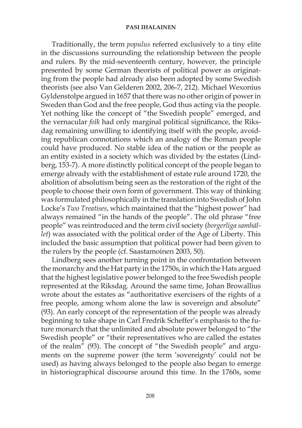Traditionally, the term *populus* referred exclusively to a tiny elite in the discussions surrounding the relationship between the people and rulers. By the mid-seventeenth century, however, the principle presented by some German theorists of political power as originating from the people had already also been adopted by some Swedish theorists (see also Van Gelderen 2002, 206-7, 212). Michael Wexonius Gyldenstolpe argued in 1657 that there was no other origin of power in Sweden than God and the free people, God thus acting via the people. Yet nothing like the concept of "the Swedish people" emerged, and the vernacular *folk* had only marginal political significance, the Riksdag remaining unwilling to identifying itself with the people, avoiding republican connotations which an analogy of the Roman people could have produced. No stable idea of the nation or the people as an entity existed in a society which was divided by the estates (Lindberg, 153-7). A more distinctly political concept of the people began to emerge already with the establishment of estate rule around 1720, the abolition of absolutism being seen as the restoration of the right of the people to choose their own form of government. This way of thinking was formulated philosophically in the translation into Swedish of John Locke's *Two Treatises*, which maintained that the "highest power" had always remained "in the hands of the people". The old phrase "free people" was reintroduced and the term civil society (*borgerliga samhället*) was associated with the political order of the Age of Liberty. This included the basic assumption that political power had been given to the rulers by the people (cf. Saastamoinen 2003, 50).

Lindberg sees another turning point in the confrontation between the monarchy and the Hat party in the 1750s, in which the Hats argued that the highest legislative power belonged to the free Swedish people represented at the Riksdag. Around the same time, Johan Browallius wrote about the estates as "authoritative exercisers of the rights of a free people, among whom alone the law is sovereign and absolute" (93). An early concept of the representation of the people was already beginning to take shape in Carl Fredrik Scheffer's emphasis to the future monarch that the unlimited and absolute power belonged to "the Swedish people" or "their representatives who are called the estates of the realm" (93). The concept of "the Swedish people" and arguments on the supreme power (the term 'sovereignty' could not be used) as having always belonged to the people also began to emerge in historiographical discourse around this time. In the 1760s, some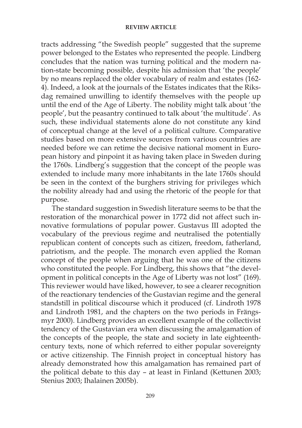tracts addressing "the Swedish people" suggested that the supreme power belonged to the Estates who represented the people. Lindberg concludes that the nation was turning political and the modern nation-state becoming possible, despite his admission that 'the people' by no means replaced the older vocabulary of realm and estates (162- 4). Indeed, a look at the journals of the Estates indicates that the Riksdag remained unwilling to identify themselves with the people up until the end of the Age of Liberty. The nobility might talk about 'the people', but the peasantry continued to talk about 'the multitude'. As such, these individual statements alone do not constitute any kind of conceptual change at the level of a political culture. Comparative studies based on more extensive sources from various countries are needed before we can retime the decisive national moment in European history and pinpoint it as having taken place in Sweden during the 1760s. Lindberg's suggestion that the concept of the people was extended to include many more inhabitants in the late 1760s should be seen in the context of the burghers striving for privileges which the nobility already had and using the rhetoric of the people for that purpose.

The standard suggestion in Swedish literature seems to be that the restoration of the monarchical power in 1772 did not affect such innovative formulations of popular power. Gustavus III adopted the vocabulary of the previous regime and neutralised the potentially republican content of concepts such as citizen, freedom, fatherland, patriotism, and the people. The monarch even applied the Roman concept of the people when arguing that he was one of the citizens who constituted the people. For Lindberg, this shows that "the development in political concepts in the Age of Liberty was not lost" (169). This reviewer would have liked, however, to see a clearer recognition of the reactionary tendencies of the Gustavian regime and the general standstill in political discourse which it produced (cf. Lindroth 1978 and Lindroth 1981, and the chapters on the two periods in Frängsmyr 2000). Lindberg provides an excellent example of the collectivist tendency of the Gustavian era when discussing the amalgamation of the concepts of the people, the state and society in late eighteenthcentury texts, none of which referred to either popular sovereignty or active citizenship. The Finnish project in conceptual history has already demonstrated how this amalgamation has remained part of the political debate to this day – at least in Finland (Kettunen 2003; Stenius 2003; Ihalainen 2005b).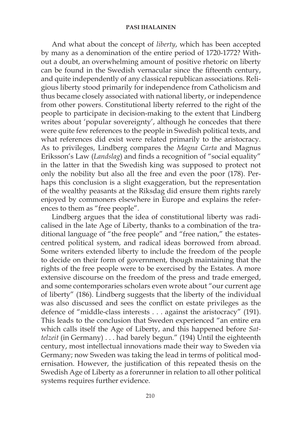And what about the concept of *liberty*, which has been accepted by many as a denomination of the entire period of 1720-1772? Without a doubt, an overwhelming amount of positive rhetoric on liberty can be found in the Swedish vernacular since the fifteenth century, and quite independently of any classical republican associations. Religious liberty stood primarily for independence from Catholicism and thus became closely associated with national liberty, or independence from other powers. Constitutional liberty referred to the right of the people to participate in decision-making to the extent that Lindberg writes about 'popular sovereignty', although he concedes that there were quite few references to the people in Swedish political texts, and what references did exist were related primarily to the aristocracy. As to privileges, Lindberg compares the *Magna Carta* and Magnus Eriksson's Law (*Landslag*) and finds a recognition of "social equality" in the latter in that the Swedish king was supposed to protect not only the nobility but also all the free and even the poor (178). Perhaps this conclusion is a slight exaggeration, but the representation of the wealthy peasants at the Riksdag did ensure them rights rarely enjoyed by commoners elsewhere in Europe and explains the references to them as "free people".

Lindberg argues that the idea of constitutional liberty was radicalised in the late Age of Liberty, thanks to a combination of the traditional language of "the free people" and "free nation," the estatescentred political system, and radical ideas borrowed from abroad. Some writers extended liberty to include the freedom of the people to decide on their form of government, though maintaining that the rights of the free people were to be exercised by the Estates. A more extensive discourse on the freedom of the press and trade emerged, and some contemporaries scholars even wrote about "our current age of liberty" (186). Lindberg suggests that the liberty of the individual was also discussed and sees the conflict on estate privileges as the defence of "middle-class interests . . . against the aristocracy" (191). This leads to the conclusion that Sweden experienced "an entire era which calls itself the Age of Liberty, and this happened before *Sattelzeit* (in Germany) . . . had barely begun." (194) Until the eighteenth century, most intellectual innovations made their way to Sweden via Germany; now Sweden was taking the lead in terms of political modernisation. However, the justification of this repeated thesis on the Swedish Age of Liberty as a forerunner in relation to all other political systems requires further evidence.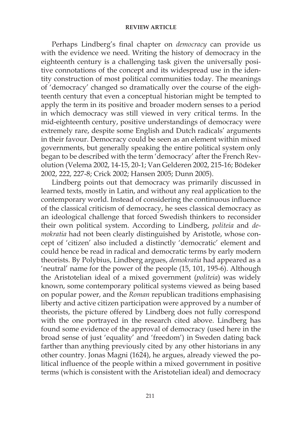Perhaps Lindberg's final chapter on *democracy* can provide us with the evidence we need. Writing the history of democracy in the eighteenth century is a challenging task given the universally positive connotations of the concept and its widespread use in the identity construction of most political communities today. The meanings of 'democracy' changed so dramatically over the course of the eighteenth century that even a conceptual historian might be tempted to apply the term in its positive and broader modern senses to a period in which democracy was still viewed in very critical terms. In the mid-eighteenth century, positive understandings of democracy were extremely rare, despite some English and Dutch radicals' arguments in their favour. Democracy could be seen as an element within mixed governments, but generally speaking the entire political system only began to be described with the term 'democracy' after the French Revolution (Velema 2002, 14-15, 20-1; Van Gelderen 2002, 215-16; Bödeker 2002, 222, 227-8; Crick 2002; Hansen 2005; Dunn 2005).

Lindberg points out that democracy was primarily discussed in learned texts, mostly in Latin, and without any real application to the contemporary world. Instead of considering the continuous influence of the classical criticism of democracy, he sees classical democracy as an ideological challenge that forced Swedish thinkers to reconsider their own political system. According to Lindberg, *politeia* and *demokratia* had not been clearly distinguished by Aristotle, whose concept of 'citizen' also included a distinctly 'democratic' element and could hence be read in radical and democratic terms by early modern theorists. By Polybius, Lindberg argues, *demokratia* had appeared as a 'neutral' name for the power of the people (15, 101, 195-6). Although the Aristotelian ideal of a mixed government (*politeia*) was widely known, some contemporary political systems viewed as being based on popular power, and the *Roman* republican traditions emphasising liberty and active citizen participation were approved by a number of theorists, the picture offered by Lindberg does not fully correspond with the one portrayed in the research cited above. Lindberg has found some evidence of the approval of democracy (used here in the broad sense of just 'equality' and 'freedom') in Sweden dating back farther than anything previously cited by any other historians in any other country. Jonas Magni (1624), he argues, already viewed the political influence of the people within a mixed government in positive terms (which is consistent with the Aristotelian ideal) and democracy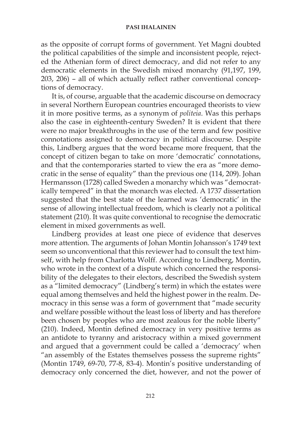as the opposite of corrupt forms of government. Yet Magni doubted the political capabilities of the simple and inconsistent people, rejected the Athenian form of direct democracy, and did not refer to any democratic elements in the Swedish mixed monarchy (91,197, 199, 203, 206) – all of which actually reflect rather conventional conceptions of democracy.

It is, of course, arguable that the academic discourse on democracy in several Northern European countries encouraged theorists to view it in more positive terms, as a synonym of *politeia*. Was this perhaps also the case in eighteenth-century Sweden? It is evident that there were no major breakthroughs in the use of the term and few positive connotations assigned to democracy in political discourse. Despite this, Lindberg argues that the word became more frequent, that the concept of citizen began to take on more 'democratic' connotations, and that the contemporaries started to view the era as "more democratic in the sense of equality" than the previous one (114, 209). Johan Hermansson (1728) called Sweden a monarchy which was "democratically tempered" in that the monarch was elected. A 1737 dissertation suggested that the best state of the learned was 'democratic' in the sense of allowing intellectual freedom, which is clearly not a political statement (210). It was quite conventional to recognise the democratic element in mixed governments as well.

Lindberg provides at least one piece of evidence that deserves more attention. The arguments of Johan Montin Johansson's 1749 text seem so unconventional that this reviewer had to consult the text himself, with help from Charlotta Wolff. According to Lindberg, Montin, who wrote in the context of a dispute which concerned the responsibility of the delegates to their electors, described the Swedish system as a "limited democracy" (Lindberg's term) in which the estates were equal among themselves and held the highest power in the realm. Democracy in this sense was a form of government that "made security and welfare possible without the least loss of liberty and has therefore been chosen by peoples who are most zealous for the noble liberty" (210). Indeed, Montin defined democracy in very positive terms as an antidote to tyranny and aristocracy within a mixed government and argued that a government could be called a 'democracy' when "an assembly of the Estates themselves possess the supreme rights" (Montin 1749, 69-70, 77-8, 83-4). Montin's positive understanding of democracy only concerned the diet, however, and not the power of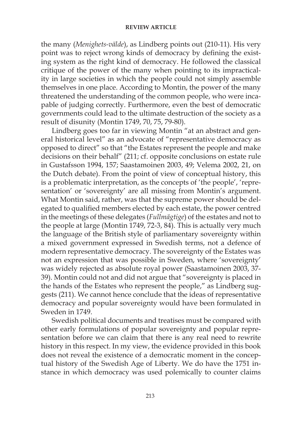the many (*Menighets-välde*), as Lindberg points out (210-11). His very point was to reject wrong kinds of democracy by defining the existing system as the right kind of democracy. He followed the classical critique of the power of the many when pointing to its impracticality in large societies in which the people could not simply assemble themselves in one place. According to Montin, the power of the many threatened the understanding of the common people, who were incapable of judging correctly. Furthermore, even the best of democratic governments could lead to the ultimate destruction of the society as a result of disunity (Montin 1749, 70, 75, 79-80).

Lindberg goes too far in viewing Montin "at an abstract and general historical level" as an advocate of "representative democracy as opposed to direct" so that "the Estates represent the people and make decisions on their behalf" (211; cf. opposite conclusions on estate rule in Gustafsson 1994, 157; Saastamoinen 2003, 49; Velema 2002, 21, on the Dutch debate). From the point of view of conceptual history, this is a problematic interpretation, as the concepts of 'the people', 'representation' or 'sovereignty' are all missing from Montin's argument. What Montin said, rather, was that the supreme power should be delegated to qualified members elected by each estate, the power centred in the meetings of these delegates (*Fullmägtige*) of the estates and not to the people at large (Montin 1749, 72-3, 84). This is actually very much the language of the British style of parliamentary sovereignty within a mixed government expressed in Swedish terms, not a defence of modern representative democracy. The sovereignty of the Estates was not an expression that was possible in Sweden, where 'sovereignty' was widely rejected as absolute royal power (Saastamoinen 2003, 37- 39). Montin could not and did not argue that "sovereignty is placed in the hands of the Estates who represent the people," as Lindberg suggests (211). We cannot hence conclude that the ideas of representative democracy and popular sovereignty would have been formulated in Sweden in 1749.

Swedish political documents and treatises must be compared with other early formulations of popular sovereignty and popular representation before we can claim that there is any real need to rewrite history in this respect. In my view, the evidence provided in this book does not reveal the existence of a democratic moment in the conceptual history of the Swedish Age of Liberty. We do have the 1751 instance in which democracy was used polemically to counter claims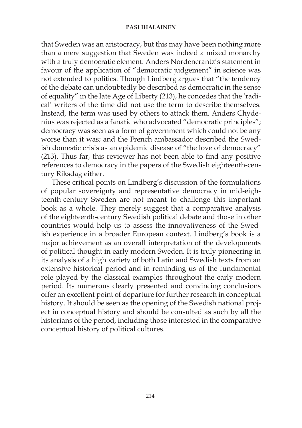that Sweden was an aristocracy, but this may have been nothing more than a mere suggestion that Sweden was indeed a mixed monarchy with a truly democratic element. Anders Nordencrantz's statement in favour of the application of "democratic judgement" in science was not extended to politics. Though Lindberg argues that "the tendency of the debate can undoubtedly be described as democratic in the sense of equality" in the late Age of Liberty (213), he concedes that the 'radical' writers of the time did not use the term to describe themselves. Instead, the term was used by others to attack them. Anders Chydenius was rejected as a fanatic who advocated "democratic principles"; democracy was seen as a form of government which could not be any worse than it was; and the French ambassador described the Swedish domestic crisis as an epidemic disease of "the love of democracy" (213). Thus far, this reviewer has not been able to find any positive references to democracy in the papers of the Swedish eighteenth-century Riksdag either.

These critical points on Lindberg's discussion of the formulations of popular sovereignty and representative democracy in mid-eighteenth-century Sweden are not meant to challenge this important book as a whole. They merely suggest that a comparative analysis of the eighteenth-century Swedish political debate and those in other countries would help us to assess the innovativeness of the Swedish experience in a broader European context. Lindberg's book is a major achievement as an overall interpretation of the developments of political thought in early modern Sweden. It is truly pioneering in its analysis of a high variety of both Latin and Swedish texts from an extensive historical period and in reminding us of the fundamental role played by the classical examples throughout the early modern period. Its numerous clearly presented and convincing conclusions offer an excellent point of departure for further research in conceptual history. It should be seen as the opening of the Swedish national project in conceptual history and should be consulted as such by all the historians of the period, including those interested in the comparative conceptual history of political cultures.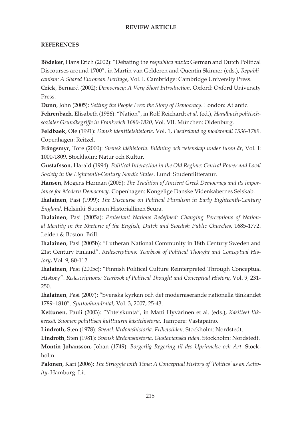#### **REFERENCES**

**Bödeker**, Hans Erich (2002): "Debating the *respublica mixta*: German and Dutch Political Discourses around 1700", in Martin van Gelderen and Quentin Skinner (eds.), *Republicanism: A Shared European Heritage*, Vol. I. Cambridge: Cambridge University Press. **Crick**, Bernard (2002): *Democracy: A Very Short Introduction*. Oxford: Oxford University Press.

**Dunn**, John (2005): *Setting the People Free: the Story of Democracy*. London: Atlantic. **Fehrenbach**, Elisabeth (1986): "Nation", in Rolf Reichardt *et al*. (ed.), *Handbuch politischsozialer Grundbegriffe in Frankreich 1680-1820*, Vol. VII. München: Oldenburg.

**Feldbaek**, Ole (1991): *Dansk identitetshistorie*. Vol. 1, *Faedreland og modersmål 1536-1789*. Copenhagen: Reitzel.

**Frängsmyr**, Tore (2000): *Svensk idéhistoria*. *Bildning och vetenskap under tusen år*, Vol. I: 1000-1809. Stockholm: Natur och Kultur.

**Gustafsson**, Harald (1994): *Political Interaction in the Old Regime: Central Power and Local Society in the Eighteenth-Century Nordic States*. Lund: Studentlitteratur.

**Hansen**, Mogens Herman (2005): *The Tradition of Ancient Greek Democracy and its Importance for Modern Democracy*. Copenhagen: Kongelige Danske Videnkabernes Selskab.

**Ihalainen**, Pasi (1999): *The Discourse on Political Pluralism in Early Eighteenth-Century England*. Helsinki: Suomen Historiallinen Seura.

**Ihalainen**, Pasi (2005a): *Protestant Nations Redefined: Changing Perceptions of National Identity in the Rhetoric of the English, Dutch and Swedish Public Churches*, 1685-1772. Leiden & Boston: Brill.

**Ihalainen**, Pasi (2005b): "Lutheran National Community in 18th Century Sweden and 21st Century Finland". *Redescriptions: Yearbook of Political Thought and Conceptual History*, Vol. 9, 80-112.

**Ihalainen**, Pasi (2005c): "Finnish Political Culture Reinterpreted Through Conceptual History". *Redescriptions: Yearbook of Political Thought and Conceptual History*, Vol. 9, 231- 250.

**Ihalainen**, Pasi (2007): "Svenska kyrkan och det moderniserande nationella tänkandet 1789–1810". *Sjuttonhundratal*, Vol. 3, 2007, 25-43.

**Kettunen**, Pauli (2003): "Yhteiskunta", in Matti Hyvärinen et al. (eds.), *Käsitteet liikkeessä: Suomen poliittisen kulttuurin käsitehistoria*. Tampere: Vastapaino.

**Lindroth**, Sten (1978): *Svensk lärdomshistoria. Frihetstiden*. Stockholm: Nordstedt.

**Lindroth**, Sten (1981): *Svensk lärdomshistoria. Gustavianska tiden*. Stockholm: Nordstedt. **Montin Johansson**, Johan (1749): *Borgerlig Regering til des Uprinnelse och Art*. Stockholm.

**Palonen**, Kari (2006): *The Struggle with Time: A Conceptual History of 'Politics' as an Activity*, Hamburg: Lit.